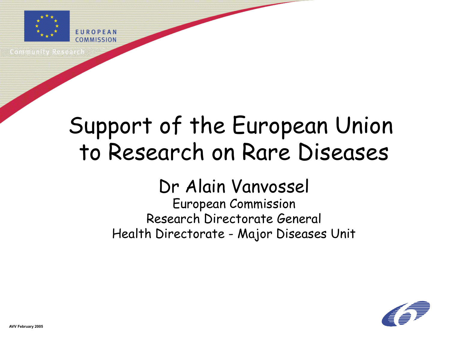

communismus Resea

# Support of the European Union to Research on Rare Diseases

### Dr Alain Vanvossel

#### European Commission Research Directorate General Health Directorate - Major Diseases Unit

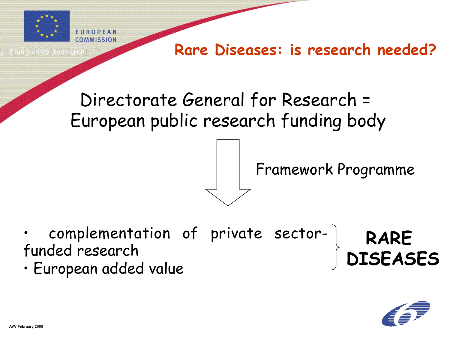

te in in de stad k

#### **Rare Diseases: is research needed?**

# Directorate General for Research = European public research funding body

Framework Programme

- complementation of private sectorfunded research **DISEASES**
- European added value



**RARE**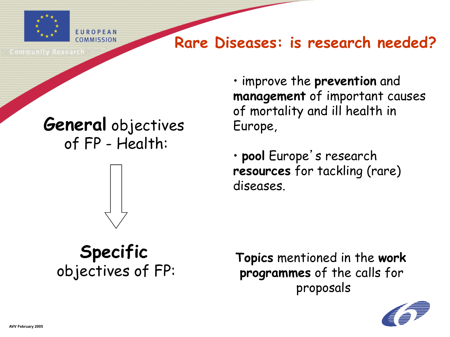

**Rare Diseases: is research needed?**

Sommunity Rese

### **General** objectives of FP - Health:



• improve the **prevention** and **management** of important causes of mortality and ill health in Europe,

• **pool** Europe's research **resources** for tackling (rare) diseases.

# **Specific**

objectives of FP: **Topics** mentioned in the **work programmes** of the calls for proposals

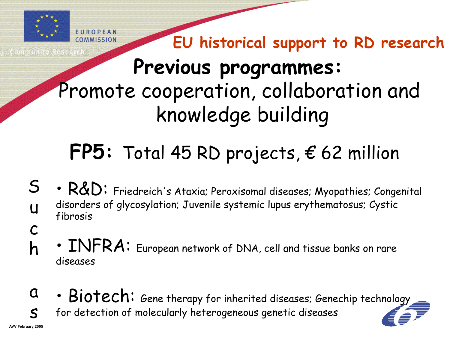

**EU historical support to RD research**

# **Previous programmes:**  Promote cooperation, collaboration and knowledge building

# **FP5:** Total 45 RD projects, € 62 million

- $R&D$ : Friedreich's Ataxia; Peroxisomal diseases; Myopathies; Congenital disorders of glycosylation; Juvenile systemic lupus erythematosus; Cystic fibrosis S u
- INFRA: European network of DNA, cell and tissue banks on rare diseases c h
- Biotech: Gene therapy for inherited diseases; Genechip technology for detection of molecularly heterogeneous genetic diseases  $\mathbf{a}$  $\leq$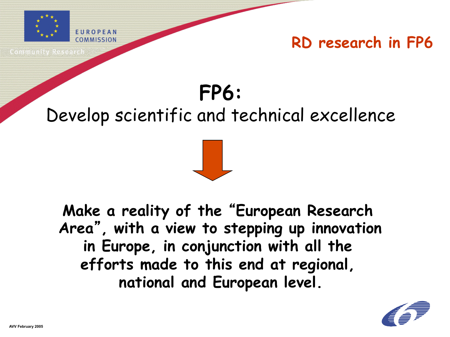

# **FP6:**  Develop scientific and technical excellence

**Make a reality of the** "**European Research Area**"**, with a view to stepping up innovation in Europe, in conjunction with all the efforts made to this end at regional, national and European level.** 

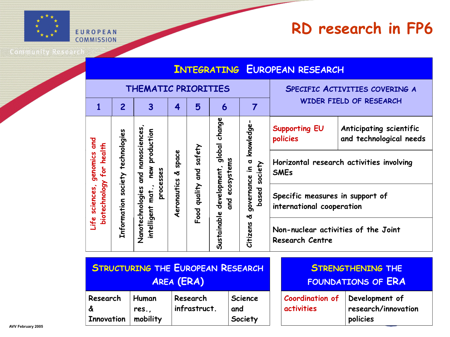

**Community Research** 

| <b>INTEGRATING EUROPEAN RESEARCH</b>                             |                                  |                                                                                          |                             |                         |                                                                |                                                                     |                                                                                        |
|------------------------------------------------------------------|----------------------------------|------------------------------------------------------------------------------------------|-----------------------------|-------------------------|----------------------------------------------------------------|---------------------------------------------------------------------|----------------------------------------------------------------------------------------|
| THEMATIC PRIORITIES                                              |                                  |                                                                                          |                             |                         |                                                                | SPECIFIC ACTIVITIES COVERING A                                      |                                                                                        |
| $\mathbf{1}$                                                     | $\overline{2}$                   | $\overline{\mathbf{3}}$                                                                  | 4                           | 5                       | 6                                                              | $\overline{7}$                                                      | WIDER FIELD OF RESEARCH                                                                |
|                                                                  |                                  |                                                                                          | space<br>প্ত<br>Aeronautics | Food quality and safety | global change<br>ecosystems<br>Sustainable development,<br>and | knowledge<br>governance in a<br>society<br>based<br>প্ত<br>Citizens | <b>Supporting EU</b><br>Anticipating scientific<br>and technological needs<br>policies |
| genomics and<br>for health<br>biotechnology<br>sciences,<br>Life | Information society technologies | and nanosciences<br>new production<br>processes<br>Nanotechnologies<br>intelligent mat., |                             |                         |                                                                |                                                                     | Horizontal research activities involving<br><b>SMEs</b>                                |
|                                                                  |                                  |                                                                                          |                             |                         |                                                                |                                                                     | Specific measures in support of<br>international cooperation                           |
|                                                                  |                                  |                                                                                          |                             |                         |                                                                |                                                                     | Non-nuclear activities of the Joint<br><b>Research Centre</b>                          |
| <b>STRUCTURING THE EUROPEAN RESEARCH</b>                         |                                  |                                                                                          |                             |                         |                                                                | <b>STRENGTHENING THE</b>                                            |                                                                                        |
| <b>AREA (ERA)</b>                                                |                                  |                                                                                          |                             |                         |                                                                |                                                                     | <b>FOUNDATIONS OF ERA</b>                                                              |

**Science** 

**Society**

**and** 

| <b>FOUNDATIONS OF ERA</b> |  |
|---------------------------|--|
|---------------------------|--|

| Coordination of Development of |                     |
|--------------------------------|---------------------|
| activities                     | research/innovation |
|                                | policies            |

**Research** 

**Human res., mobility** **Research infrastruct.**

**Innovation**

**&**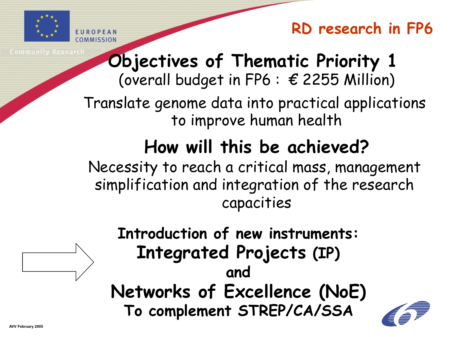

# **Objectives of Thematic Priority 1**

(overall budget in FP6 :  $\epsilon$  2255 Million)

Translate genome data into practical applications to improve human health

# **How will this be achieved?**

Necessity to reach a critical mass, management simplification and integration of the research capacities



**Introduction of new instruments: Integrated Projects (IP) and Networks of Excellence (NoE) To complement STREP/CA/SSA** 

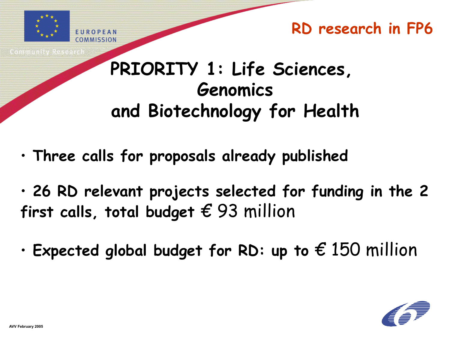

### **PRIORITY 1: Life Sciences, Genomics and Biotechnology for Health**

- • **Three calls for proposals already published**
- • **26 RD relevant projects selected for funding in the 2 first calls, total budget** € 93 million
- • **Expected global budget for RD: up to** € 150 million

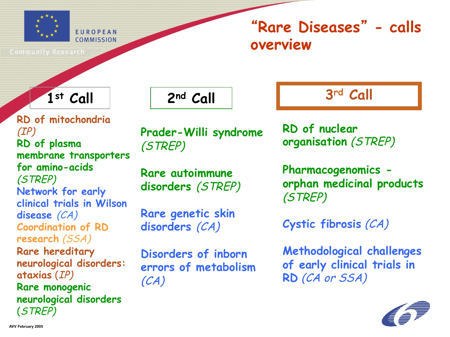

### "**Rare Diseases**" **- calls overview**

Community Researcl

**RD of mitochondria** (IP) **RD of plasma membrane transporters for amino-acids** (STREP) **Network for early clinical trials in Wilson disease** (CA) **Coordination of RD research** (SSA) **Rare hereditary neurological disorders: ataxias** (IP) **Rare monogenic neurological disorders** (STREP)

**Prader-Willi syndrome**  (STREP)

**Rare autoimmune disorders** (STREP)

**Rare genetic skin disorders** (CA)

**Disorders of inborn errors of metabolism**  (CA)

1st Call **2nd Call 3rd Call** 

**RD of nuclear organisation** (STREP)

**Pharmacogenomics orphan medicinal products** (STREP)

**Cystic fibrosis** (CA)

**Methodological challenges of early clinical trials in RD** (CA or SSA)

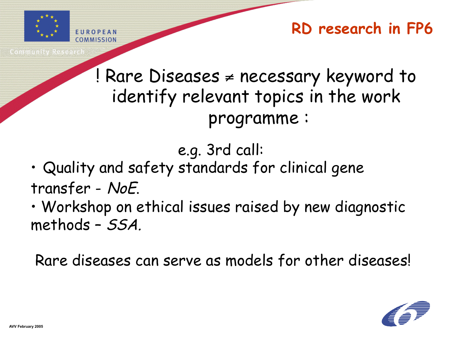

! Rare Diseases ≠ necessary keyword to identify relevant topics in the work programme :

e.g. 3rd call:

- Quality and safety standards for clinical gene transfer - NoE.
- Workshop on ethical issues raised by new diagnostic methods – SSA.

Rare diseases can serve as models for other diseases!

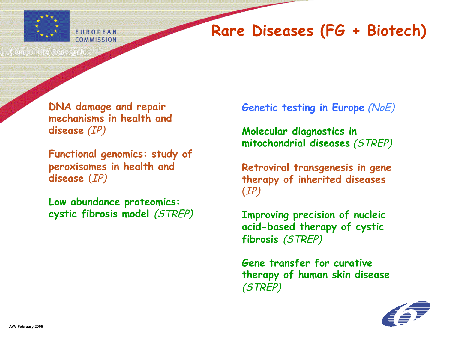

### **Rare Diseases (FG + Biotech)**

Community Researc

**DNA damage and repair mechanisms in health and disease** (IP)

**Functional genomics: study of peroxisomes in health and disease** (IP)

**Low abundance proteomics: cystic fibrosis model** (STREP) **Genetic testing in Europe** (NoE)

**Molecular diagnostics in mitochondrial diseases** (STREP)

**Retroviral transgenesis in gene therapy of inherited diseases** (IP)

**Improving precision of nucleic acid-based therapy of cystic fibrosis** (STREP)

**Gene transfer for curative therapy of human skin disease** (STREP)

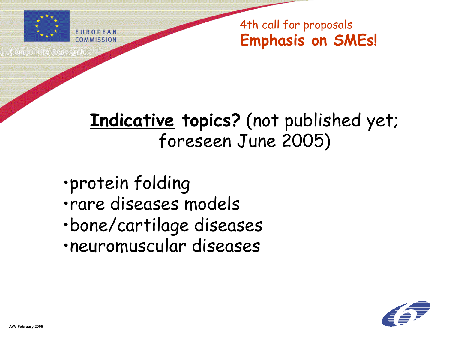

to ministra värde

4th call for proposals **Emphasis on SMEs!** 

## **Indicative topics?** (not published yet; foreseen June 2005)

- •protein folding
- •rare diseases models
- •bone/cartilage diseases
- •neuromuscular diseases

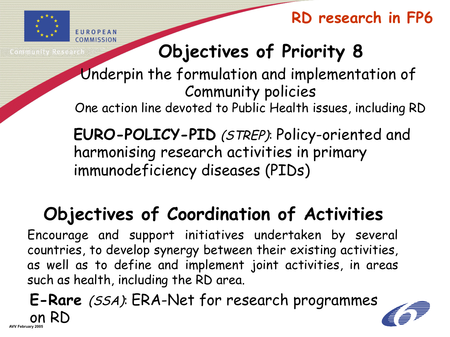

**Objectives of Priority 8**

Underpin the formulation and implementation of Community policies

One action line devoted to Public Health issues, including RD

**EURO-POLICY-PID** (STREP): Policy-oriented and harmonising research activities in primary immunodeficiency diseases (PIDs)

# **Objectives of Coordination of Activities**

Encourage and support initiatives undertaken by several countries, to develop synergy between their existing activities, as well as to define and implement joint activities, in areas such as health, including the RD area.

**AVV February 200 E-Rare** (SSA): ERA-Net for research programmes on RD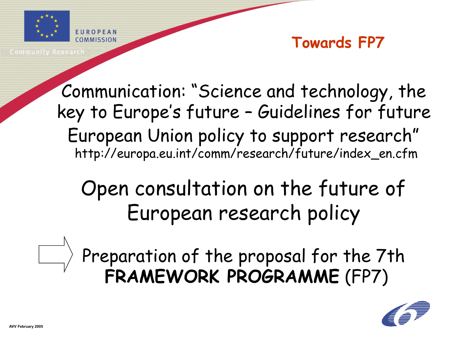

Coxes as a ser a co

#### **Towards FP7**

Communication: "Science and technology, the key to Europe's future – Guidelines for future European Union policy to support research" http://europa.eu.int/comm/research/future/index\_en.cfm

Open consultation on the future of European research policy



Preparation of the proposal for the 7th **FRAMEWORK PROGRAMME** (FP7)

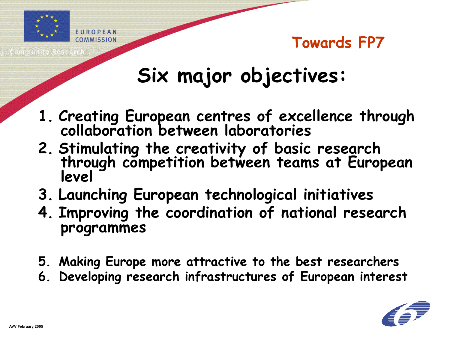

# **Six major objectives:**

- **1. Creating European centres of excellence through collaboration between laboratories**
- **2. Stimulating the creativity of basic research through competition between teams at European level**
- **3. Launching European technological initiatives**
- **4. Improving the coordination of national research programmes**
- **5. Making Europe more attractive to the best researchers**
- **6. Developing research infrastructures of European interest**

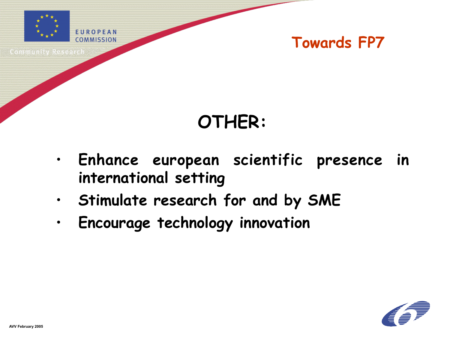

Sommunity Resea

# **OTHER:**

- **Enhance european scientific presence in international setting**
- **Stimulate research for and by SME**
- **Encourage technology innovation**

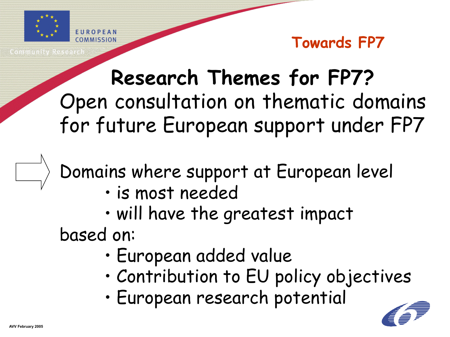

**Research Themes for FP7?** Open consultation on thematic domains for future European support under FP7

Domains where support at European level

- is most needed
- will have the greatest impact based on:
	- European added value
	- Contribution to EU policy objectives
	- European research potential

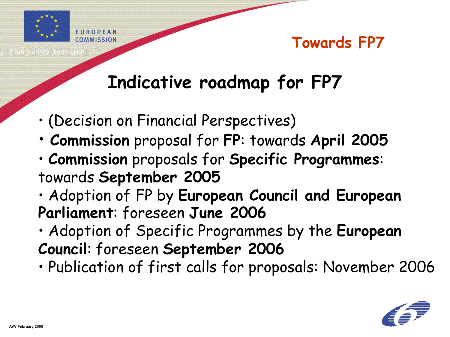

# **Indicative roadmap for FP7**

- (Decision on Financial Perspectives)
- **Commission** proposal for **FP**: towards **April 2005**
- **Commission** proposals for **Specific Programmes**: towards **September 2005**
- Adoption of FP by **European Council and European Parliament**: foreseen **June 2006**
- Adoption of Specific Programmes by the **European Council**: foreseen **September 2006**
- Publication of first calls for proposals: November 2006

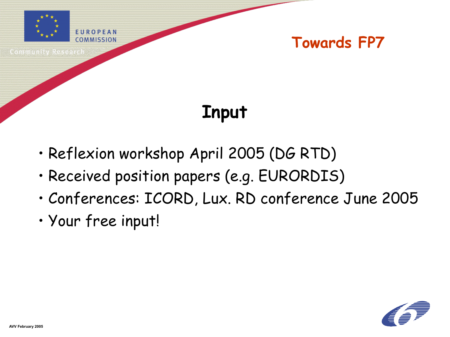

# **Input**

- Reflexion workshop April 2005 (DG RTD)
- Received position papers (e.g. EURORDIS)
- Conferences: ICORD, Lux. RD conference June 2005
- Your free input!